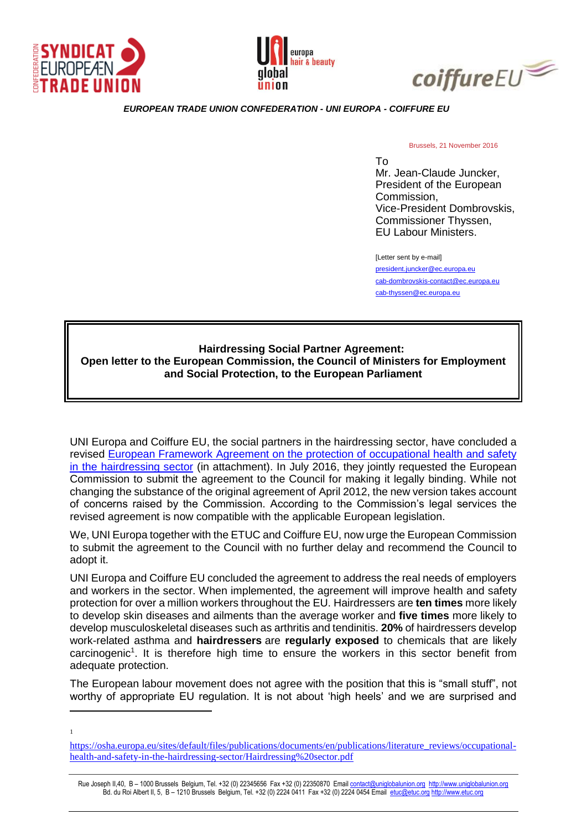





*EUROPEAN TRADE UNION CONFEDERATION - UNI EUROPA - COIFFURE EU*

Brussels, 21 November 2016

To Mr. Jean-Claude Juncker, President of the European Commission, Vice-President Dombrovskis, Commissioner Thyssen, EU Labour Ministers.

[Letter sent by e-mail] [president.juncker@ec.europa.eu](mailto:president.juncker@ec.europa.eu) [cab-dombrovskis-contact@ec.europa.eu](mailto:cab-dombrovskis-contact@ec.europa.eu) [cab-thyssen@ec.europa.eu](mailto:cab-thyssen@ec.europa.eu)

## **Hairdressing Social Partner Agreement: Open letter to the European Commission, the Council of Ministers for Employment and Social Protection, to the European Parliament**

UNI Europa and Coiffure EU, the social partners in the hairdressing sector, have concluded a revised [European Framework Agreement on the protection of occupational health and safety](http://www.uni-europa.org/wp-content/uploads/2016/06/EFA_OHS_HairdressingSector_signed_20160623.pdf)  [in the hairdressing sector](http://www.uni-europa.org/wp-content/uploads/2016/06/EFA_OHS_HairdressingSector_signed_20160623.pdf) (in attachment). In July 2016, they jointly requested the European Commission to submit the agreement to the Council for making it legally binding. While not changing the substance of the original agreement of April 2012, the new version takes account of concerns raised by the Commission. According to the Commission's legal services the revised agreement is now compatible with the applicable European legislation.

We, UNI Europa together with the ETUC and Coiffure EU, now urge the European Commission to submit the agreement to the Council with no further delay and recommend the Council to adopt it.

UNI Europa and Coiffure EU concluded the agreement to address the real needs of employers and workers in the sector. When implemented, the agreement will improve health and safety protection for over a million workers throughout the EU. Hairdressers are **ten times** more likely to develop skin diseases and ailments than the average worker and **five times** more likely to develop musculoskeletal diseases such as arthritis and tendinitis. **20%** of hairdressers develop work-related asthma and **hairdressers** are **regularly exposed** to chemicals that are likely carcinogenic<sup>1</sup>. It is therefore high time to ensure the workers in this sector benefit from adequate protection.

The European labour movement does not agree with the position that this is "small stuff", not worthy of appropriate EU regulation. It is not about 'high heels' and we are surprised and

<u>.</u> 1

[https://osha.europa.eu/sites/default/files/publications/documents/en/publications/literature\\_reviews/occupational](https://osha.europa.eu/sites/default/files/publications/documents/en/publications/literature_reviews/occupational-health-and-safety-in-the-hairdressing-sector/Hairdressing%20sector.pdf)[health-and-safety-in-the-hairdressing-sector/Hairdressing%20sector.pdf](https://osha.europa.eu/sites/default/files/publications/documents/en/publications/literature_reviews/occupational-health-and-safety-in-the-hairdressing-sector/Hairdressing%20sector.pdf)

Rue Joseph II,40, B – 1000 Brussels Belgium, Tel. +32 (0) 22345656 Fax +32 (0) 22350870 Email [contact@uniglobalunion.org](mailto:contact@uniglobalunion.org) [http://www.uniglobalunion.org](http://www.uniglobalunion.org/) Bd. du Roi Albert II, 5, B – 1210 Brussels Belgium, Tel. +32 (0) 2224 0411 Fax +32 (0) 2224 0454 Email [etuc@etuc.org](mailto:etuc@etuc.org) [http://www.etuc.org](http://www.etuc.org/)